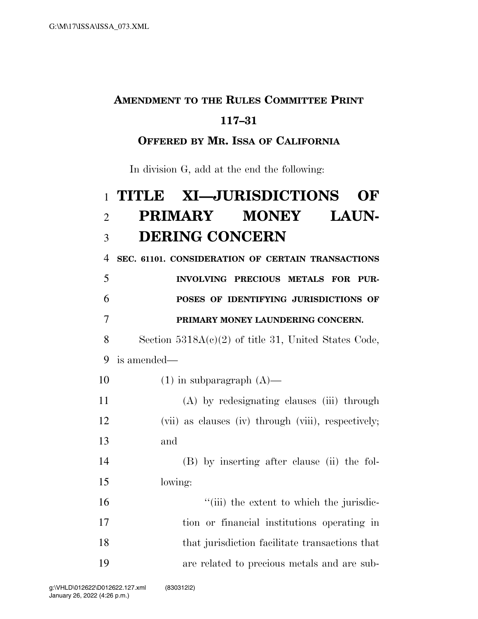### **AMENDMENT TO THE RULES COMMITTEE PRINT**

#### **117–31**

#### **OFFERED BY MR. ISSA OF CALIFORNIA**

In division G, add at the end the following:

# **TITLE XI—JURISDICTIONS OF PRIMARY MONEY LAUN-DERING CONCERN**

**SEC. 61101. CONSIDERATION OF CERTAIN TRANSACTIONS** 

 **INVOLVING PRECIOUS METALS FOR PUR- POSES OF IDENTIFYING JURISDICTIONS OF PRIMARY MONEY LAUNDERING CONCERN.** 

 Section 5318A(c)(2) of title 31, United States Code, is amended—

10  $(1)$  in subparagraph  $(A)$ —

 (A) by redesignating clauses (iii) through (vii) as clauses (iv) through (viii), respectively; and

 (B) by inserting after clause (ii) the fol-lowing:

 $\frac{1}{10}$  the extent to which the jurisdic- tion or financial institutions operating in 18 that jurisdiction facilitate transactions that are related to precious metals and are sub